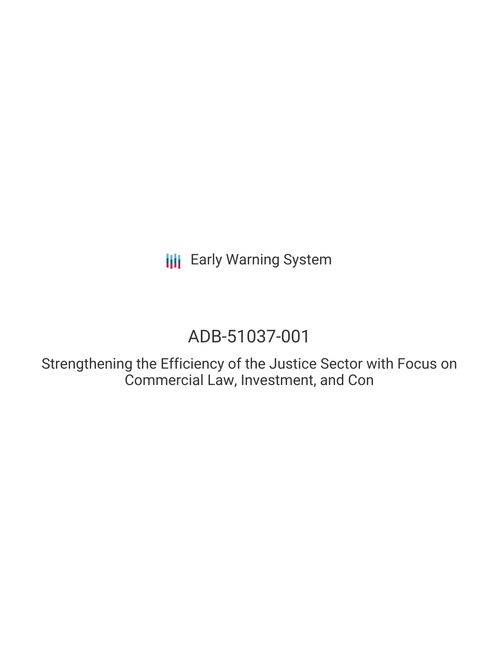# ADB-51037-001

Strengthening the Efficiency of the Justice Sector with Focus on Commercial Law, Investment, and Con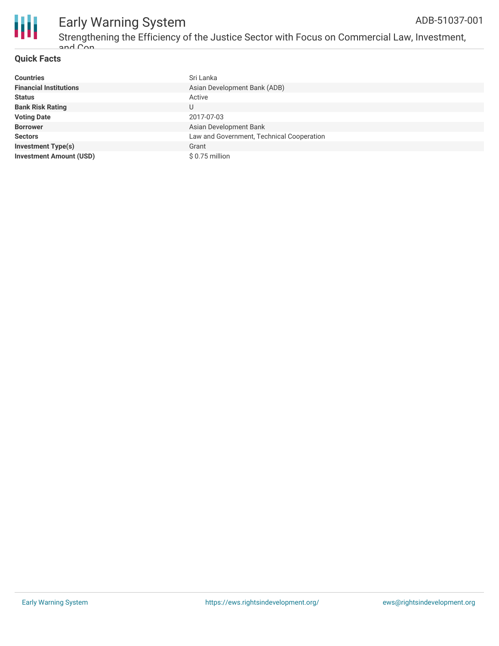

#### **Quick Facts**

| <b>Countries</b>               | Sri Lanka                                 |
|--------------------------------|-------------------------------------------|
| <b>Financial Institutions</b>  | Asian Development Bank (ADB)              |
| <b>Status</b>                  | Active                                    |
| <b>Bank Risk Rating</b>        | U                                         |
| <b>Voting Date</b>             | 2017-07-03                                |
| <b>Borrower</b>                | Asian Development Bank                    |
| <b>Sectors</b>                 | Law and Government, Technical Cooperation |
| <b>Investment Type(s)</b>      | Grant                                     |
| <b>Investment Amount (USD)</b> | $$0.75$ million                           |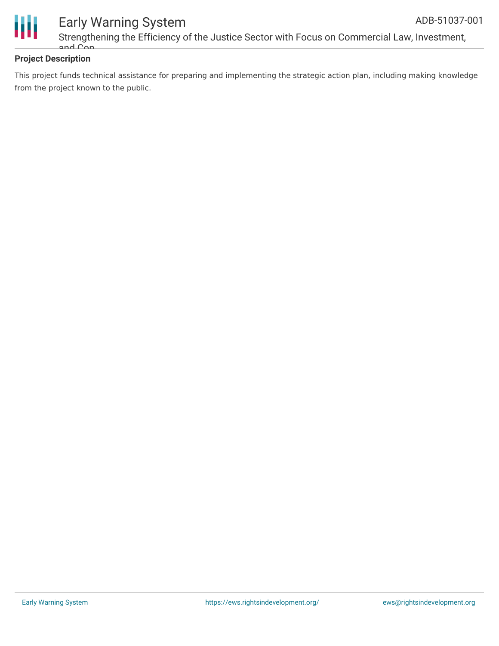



### Early Warning System Strengthening the Efficiency of the Justice Sector with Focus on Commercial Law, Investment, and Con

#### **Project Description**

This project funds technical assistance for preparing and implementing the strategic action plan, including making knowledge from the project known to the public.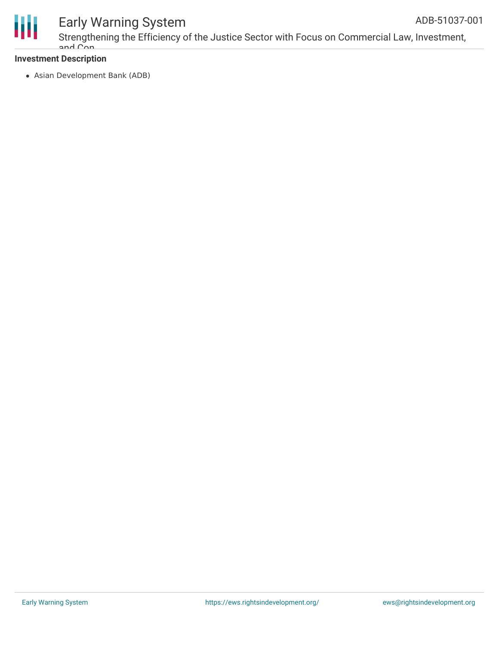

Strengthening the Efficiency of the Justice Sector with Focus on Commercial Law, Investment, and Con

#### **Investment Description**

Asian Development Bank (ADB)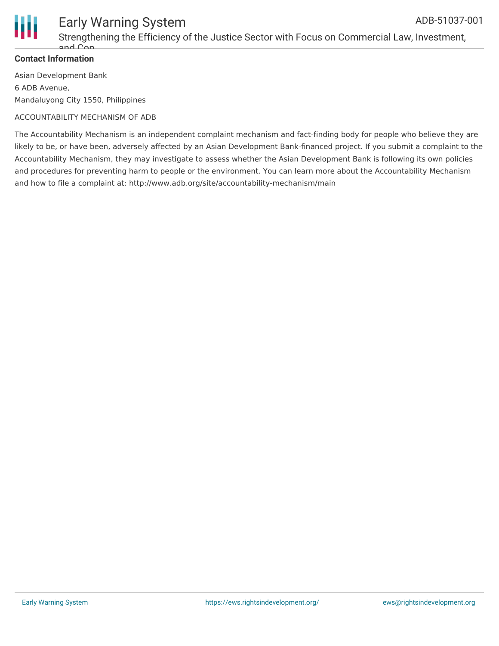

Strengthening the Efficiency of the Justice Sector with Focus on Commercial Law, Investment, and Con

#### **Contact Information**

Asian Development Bank 6 ADB Avenue, Mandaluyong City 1550, Philippines

#### ACCOUNTABILITY MECHANISM OF ADB

The Accountability Mechanism is an independent complaint mechanism and fact-finding body for people who believe they are likely to be, or have been, adversely affected by an Asian Development Bank-financed project. If you submit a complaint to the Accountability Mechanism, they may investigate to assess whether the Asian Development Bank is following its own policies and procedures for preventing harm to people or the environment. You can learn more about the Accountability Mechanism and how to file a complaint at: http://www.adb.org/site/accountability-mechanism/main